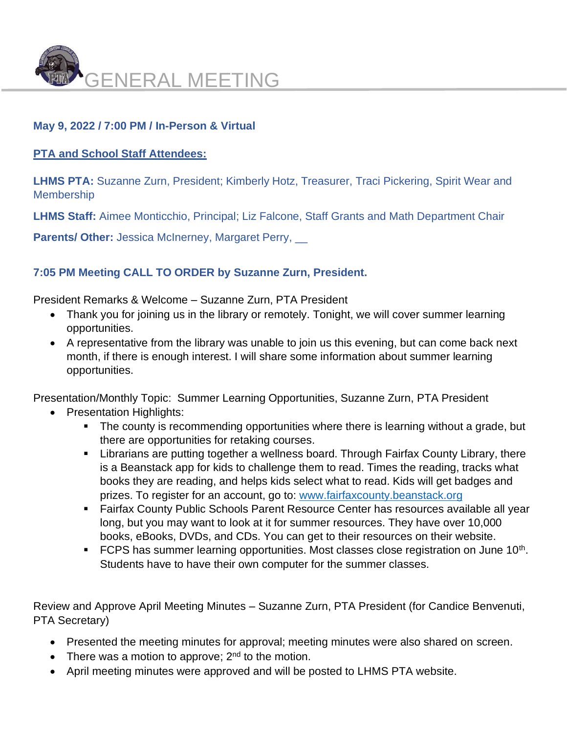

# **May 9, 2022 / 7:00 PM / In-Person & Virtual**

### **PTA and School Staff Attendees:**

**LHMS PTA:** Suzanne Zurn, President; Kimberly Hotz, Treasurer, Traci Pickering, Spirit Wear and **Membership** 

**LHMS Staff:** Aimee Monticchio, Principal; Liz Falcone, Staff Grants and Math Department Chair

**Parents/ Other:** Jessica McInerney, Margaret Perry,

# **7:05 PM Meeting CALL TO ORDER by Suzanne Zurn, President.**

President Remarks & Welcome – Suzanne Zurn, PTA President

- Thank you for joining us in the library or remotely. Tonight, we will cover summer learning opportunities.
- A representative from the library was unable to join us this evening, but can come back next month, if there is enough interest. I will share some information about summer learning opportunities.

Presentation/Monthly Topic: Summer Learning Opportunities, Suzanne Zurn, PTA President

- Presentation Highlights:
	- **•** The county is recommending opportunities where there is learning without a grade, but there are opportunities for retaking courses.
	- **EXTED THE INTERX** Librarians are putting together a wellness board. Through Fairfax County Library, there is a Beanstack app for kids to challenge them to read. Times the reading, tracks what books they are reading, and helps kids select what to read. Kids will get badges and prizes. To register for an account, go to: [www.fairfaxcounty.beanstack.org](http://www.fairfaxcounty.beanstack.org/)
	- Fairfax County Public Schools Parent Resource Center has resources available all year long, but you may want to look at it for summer resources. They have over 10,000 books, eBooks, DVDs, and CDs. You can get to their resources on their website.
	- **FCPS** has summer learning opportunities. Most classes close registration on June  $10<sup>th</sup>$ . Students have to have their own computer for the summer classes.

Review and Approve April Meeting Minutes – Suzanne Zurn, PTA President (for Candice Benvenuti, PTA Secretary)

- Presented the meeting minutes for approval; meeting minutes were also shared on screen.
- There was a motion to approve;  $2^{nd}$  to the motion.
- April meeting minutes were approved and will be posted to LHMS PTA website.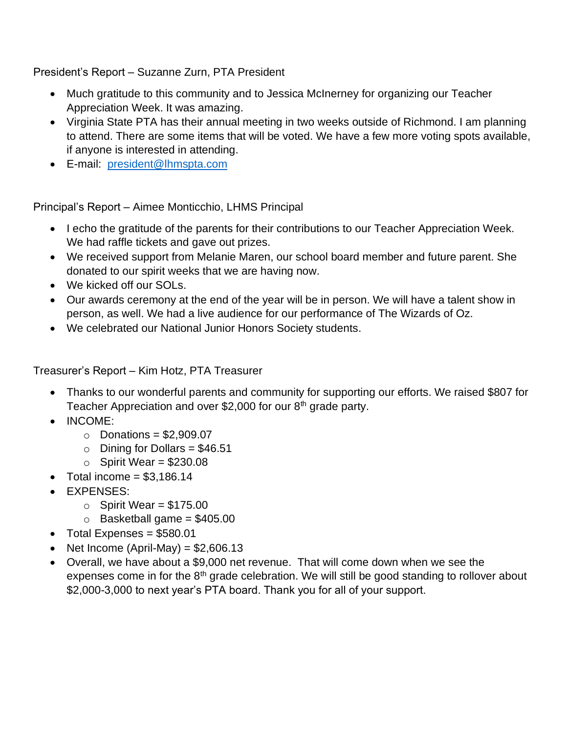President's Report – Suzanne Zurn, PTA President

- Much gratitude to this community and to Jessica McInerney for organizing our Teacher Appreciation Week. It was amazing.
- Virginia State PTA has their annual meeting in two weeks outside of Richmond. I am planning to attend. There are some items that will be voted. We have a few more voting spots available, if anyone is interested in attending.
- E-mail: [president@lhmspta.com](mailto:president@lhmspta.com)

Principal's Report – Aimee Monticchio, LHMS Principal

- I echo the gratitude of the parents for their contributions to our Teacher Appreciation Week. We had raffle tickets and gave out prizes.
- We received support from Melanie Maren, our school board member and future parent. She donated to our spirit weeks that we are having now.
- We kicked off our SOLs.
- Our awards ceremony at the end of the year will be in person. We will have a talent show in person, as well. We had a live audience for our performance of The Wizards of Oz.
- We celebrated our National Junior Honors Society students.

Treasurer's Report – Kim Hotz, PTA Treasurer

- Thanks to our wonderful parents and community for supporting our efforts. We raised \$807 for Teacher Appreciation and over \$2,000 for our  $8<sup>th</sup>$  grade party.
- INCOME:
	- $\circ$  Donations = \$2,909.07
	- $\circ$  Dining for Dollars = \$46.51
	- $\circ$  Spirit Wear = \$230.08
- Total income  $= $3.186.14$
- EXPENSES:
	- $\circ$  Spirit Wear = \$175.00
	- $\circ$  Basketball game = \$405.00
- Total Expenses = \$580.01
- Net Income (April-May) =  $$2,606.13$
- Overall, we have about a \$9,000 net revenue. That will come down when we see the expenses come in for the 8<sup>th</sup> grade celebration. We will still be good standing to rollover about \$2,000-3,000 to next year's PTA board. Thank you for all of your support.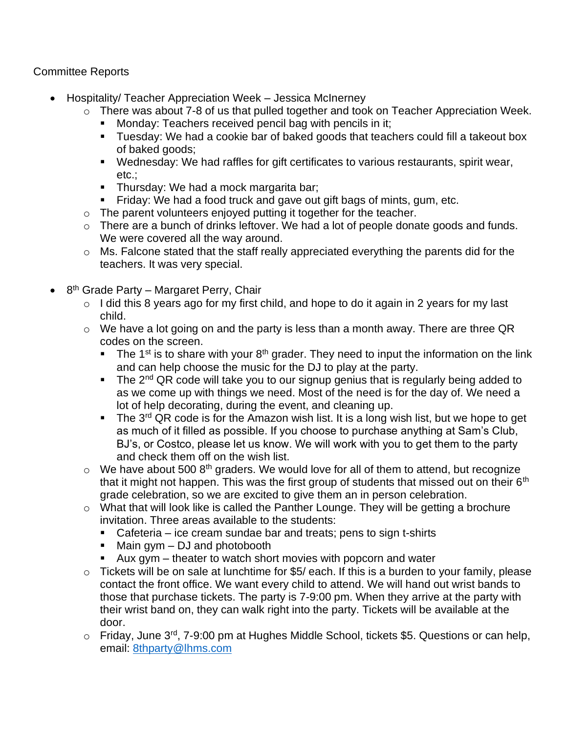# Committee Reports

- Hospitality/ Teacher Appreciation Week Jessica McInerney
	- o There was about 7-8 of us that pulled together and took on Teacher Appreciation Week.
		- Monday: Teachers received pencil bag with pencils in it;
		- **E** Tuesday: We had a cookie bar of baked goods that teachers could fill a takeout box of baked goods;
		- Wednesday: We had raffles for gift certificates to various restaurants, spirit wear, etc.;
		- **E** Thursday: We had a mock margarita bar;
		- Friday: We had a food truck and gave out gift bags of mints, gum, etc.
	- o The parent volunteers enjoyed putting it together for the teacher.
	- o There are a bunch of drinks leftover. We had a lot of people donate goods and funds. We were covered all the way around.
	- o Ms. Falcone stated that the staff really appreciated everything the parents did for the teachers. It was very special.
- 8<sup>th</sup> Grade Party Margaret Perry, Chair
	- $\circ$  I did this 8 years ago for my first child, and hope to do it again in 2 years for my last child.
	- $\circ$  We have a lot going on and the party is less than a month away. There are three QR codes on the screen.
		- **•** The 1<sup>st</sup> is to share with your  $8<sup>th</sup>$  grader. They need to input the information on the link and can help choose the music for the DJ to play at the party.
		- $\blacksquare$  The 2<sup>nd</sup> QR code will take you to our signup genius that is regularly being added to as we come up with things we need. Most of the need is for the day of. We need a lot of help decorating, during the event, and cleaning up.
		- $\blacksquare$  The 3<sup>rd</sup> QR code is for the Amazon wish list. It is a long wish list, but we hope to get as much of it filled as possible. If you choose to purchase anything at Sam's Club, BJ's, or Costco, please let us know. We will work with you to get them to the party and check them off on the wish list.
	- $\circ$  We have about 500 8<sup>th</sup> graders. We would love for all of them to attend, but recognize that it might not happen. This was the first group of students that missed out on their  $6<sup>th</sup>$ grade celebration, so we are excited to give them an in person celebration.
	- o What that will look like is called the Panther Lounge. They will be getting a brochure invitation. Three areas available to the students:
		- Cafeteria ice cream sundae bar and treats; pens to sign t-shirts
		- $\blacksquare$  Main gym DJ and photobooth
		- Aux gym theater to watch short movies with popcorn and water
	- o Tickets will be on sale at lunchtime for \$5/ each. If this is a burden to your family, please contact the front office. We want every child to attend. We will hand out wrist bands to those that purchase tickets. The party is 7-9:00 pm. When they arrive at the party with their wrist band on, they can walk right into the party. Tickets will be available at the door.
	- o Friday, June 3rd, 7-9:00 pm at Hughes Middle School, tickets \$5. Questions or can help, email: [8thparty@lhms.com](mailto:8thparty@lhms.com)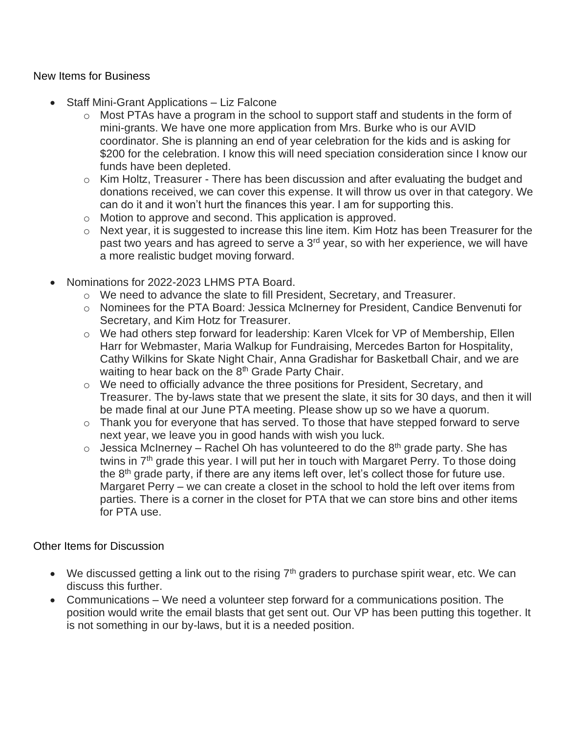### New Items for Business

- Staff Mini-Grant Applications Liz Falcone
	- o Most PTAs have a program in the school to support staff and students in the form of mini-grants. We have one more application from Mrs. Burke who is our AVID coordinator. She is planning an end of year celebration for the kids and is asking for \$200 for the celebration. I know this will need speciation consideration since I know our funds have been depleted.
	- $\circ$  Kim Holtz, Treasurer There has been discussion and after evaluating the budget and donations received, we can cover this expense. It will throw us over in that category. We can do it and it won't hurt the finances this year. I am for supporting this.
	- o Motion to approve and second. This application is approved.
	- o Next year, it is suggested to increase this line item. Kim Hotz has been Treasurer for the past two years and has agreed to serve a 3<sup>rd</sup> year, so with her experience, we will have a more realistic budget moving forward.
- Nominations for 2022-2023 LHMS PTA Board.
	- $\circ$  We need to advance the slate to fill President, Secretary, and Treasurer.
	- o Nominees for the PTA Board: Jessica McInerney for President, Candice Benvenuti for Secretary, and Kim Hotz for Treasurer.
	- o We had others step forward for leadership: Karen Vlcek for VP of Membership, Ellen Harr for Webmaster, Maria Walkup for Fundraising, Mercedes Barton for Hospitality, Cathy Wilkins for Skate Night Chair, Anna Gradishar for Basketball Chair, and we are waiting to hear back on the 8<sup>th</sup> Grade Party Chair.
	- o We need to officially advance the three positions for President, Secretary, and Treasurer. The by-laws state that we present the slate, it sits for 30 days, and then it will be made final at our June PTA meeting. Please show up so we have a quorum.
	- o Thank you for everyone that has served. To those that have stepped forward to serve next year, we leave you in good hands with wish you luck.
	- $\circ$  Jessica McInerney Rachel Oh has volunteered to do the 8<sup>th</sup> grade party. She has twins in 7<sup>th</sup> grade this year. I will put her in touch with Margaret Perry. To those doing the  $8<sup>th</sup>$  grade party, if there are any items left over, let's collect those for future use. Margaret Perry – we can create a closet in the school to hold the left over items from parties. There is a corner in the closet for PTA that we can store bins and other items for PTA use.

#### Other Items for Discussion

- We discussed getting a link out to the rising  $7<sup>th</sup>$  graders to purchase spirit wear, etc. We can discuss this further.
- Communications We need a volunteer step forward for a communications position. The position would write the email blasts that get sent out. Our VP has been putting this together. It is not something in our by-laws, but it is a needed position.